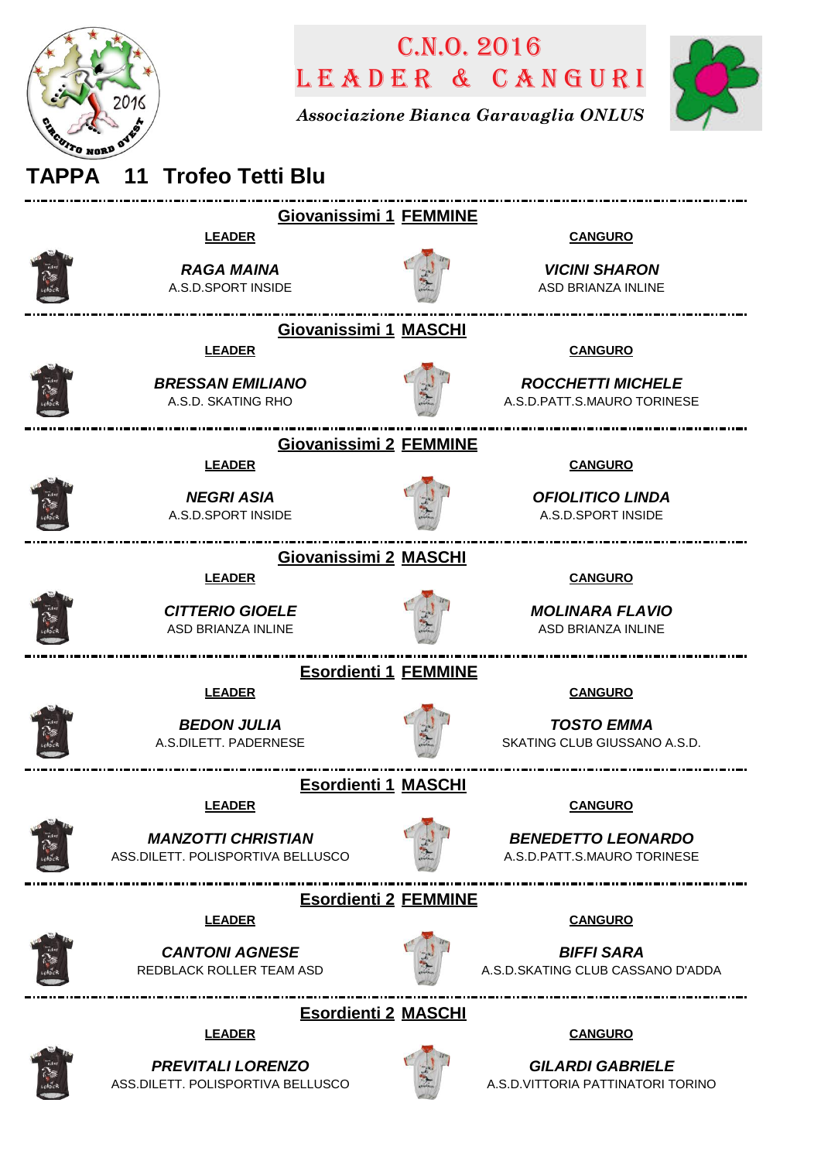

## LEADER & CANGURI C.n.o. 2016

*Associazione Bianca Garavaglia ONLUS*



## **TAPPA 11 Trofeo Tetti Blu Giovanissimi 1 FEMMINE LEADER CANGURO** *RAGA MAINA VICINI SHARON* A.S.D.SPORT INSIDE ASD BRIANZA INLINE **Giovanissimi 1 MASCHI LEADER CANGURO** *BRESSAN EMILIANO ROCCHETTI MICHELE* A.S.D. SKATING RHO A.S.D.PATT.S.MAURO TORINESE \_\_\_\_\_\_\_\_\_\_\_\_\_\_\_\_\_\_\_\_\_\_\_\_\_\_\_\_\_\_\_ **Giovanissimi 2 FEMMINE LEADER CANGURO** *NEGRI ASIA OFIOLITICO LINDA* A.S.D.SPORT INSIDE A.S.D.SPORT INSIDE **Giovanissimi 2 MASCHI LEADER CANGURO** *CITTERIO GIOELE MOLINARA FLAVIO* ASD BRIANZA INLINE ASD BRIANZA INLINE **Esordienti 1 FEMMINE LEADER CANGURO** *BEDON JULIA TOSTO EMMA* A.S.DILETT. PADERNESE SKATING CLUB GIUSSANO A.S.D. **Esordienti 1 MASCHI LEADER CANGURO** *MANZOTTI CHRISTIAN BENEDETTO LEONARDO* ASS.DILETT. POLISPORTIVA BELLUSCO A.S.D.PATT.S.MAURO TORINESE **Esordienti 2 FEMMINE LEADER CANGURO** *CANTONI AGNESE BIFFI SARA* REDBLACK ROLLER TEAM ASD A.S.D.SKATING CLUB CASSANO D'ADDA **Esordienti 2 MASCHI LEADER CANGURO**



*PREVITALI LORENZO* ASS.DILETT. POLISPORTIVA BELLUSCO



*GILARDI GABRIELE* A.S.D.VITTORIA PATTINATORI TORINO